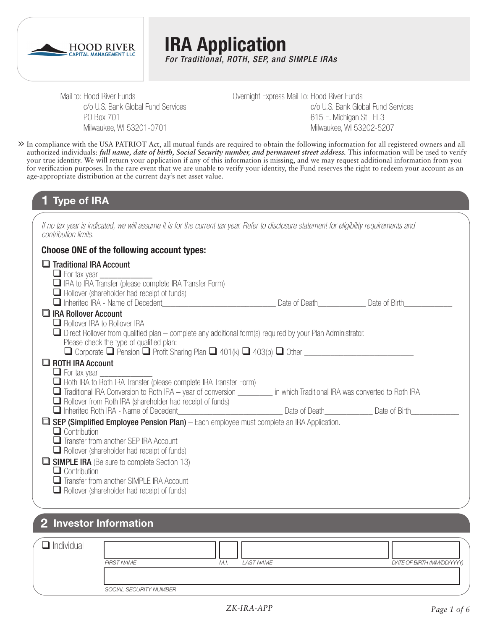

**IRA Application** *For Traditional, ROTH, SEP, and SIMPLE IRAs*

Mail to: Hood River Funds c/o U.S. Bank Global Fund Services PO Box 701 Milwaukee, WI 53201-0701

Overnight Express Mail To: Hood River Funds c/o U.S. Bank Global Fund Services 615 E. Michigan St., FL3 Milwaukee, WI 53202-5207

In compliance with the USA PATRIOT Act, all mutual funds are required to obtain the following information for all registered owners and all **>>** authorized individuals: *full name, date of birth, Social Security number, and permanent street address.* This information will be used to verify your true identity. We will return your application if any of this information is missing, and we may request additional information from you for verification purposes. In the rare event that we are unable to verify your identity, the Fund reserves the right to redeem your account as an age-appropriate distribution at the current day's net asset value.

### **1 Type of IRA**

*If no tax year is indicated, we will assume it is for the current tax year. Refer to disclosure statement for eligibility requirements and contribution limits.*

#### **Choose ONE of the following account types:**

| $\Box$ Traditional IRA Account<br>$\Box$ For tax year $\Box$                                                                                                                                                                                                   |  |
|----------------------------------------------------------------------------------------------------------------------------------------------------------------------------------------------------------------------------------------------------------------|--|
| RA to IRA Transfer (please complete IRA Transfer Form)<br>$\Box$ Rollover (shareholder had receipt of funds)<br>■ Inherited IRA - Name of Decedent Company of December 2016 Company of Date of Date of Birth                                                   |  |
| $\Box$ IRA Rollover Account<br>Rollover IRA to Rollover IRA<br>$\Box$ Direct Rollover from qualified plan – complete any additional form(s) required by your Plan Administrator.<br>Please check the type of qualified plan:                                   |  |
| $\Box$ ROTH IRA Account<br>$\Box$ For tax year $\Box$<br>$\Box$ Roth IRA to Roth IRA Transfer (please complete IRA Transfer Form)<br>Traditional IRA Conversion to Roth IRA – year of conversion __________ in which Traditional IRA was converted to Roth IRA |  |
| $\Box$ Rollover from Roth IRA (shareholder had receipt of funds)<br>Inherited Roth IRA - Name of Decedent_________________________________Date of Death_______________Date of Birth_                                                                           |  |
| $\Box$ SEP (Simplified Employee Pension Plan) – Each employee must complete an IRA Application.<br>$\Box$ Contribution<br>Transfer from another SEP IRA Account<br>$\Box$ Rollover (shareholder had receipt of funds)                                          |  |
| <b>SIMPLE IRA</b> (Be sure to complete Section 13)<br>$\Box$ Contribution<br>Transfer from another SIMPLE IRA Account<br>Rollover (shareholder had receipt of funds)                                                                                           |  |

### **2 Investor Information**

| Individual |                        |                   |                            |
|------------|------------------------|-------------------|----------------------------|
|            | <b>FIRST NAME</b>      | LAST NAME<br>M.I. | DATE OF BIRTH (MM/DD/YYYY) |
|            |                        |                   |                            |
|            | SOCIAL SECURITY NUMBER |                   |                            |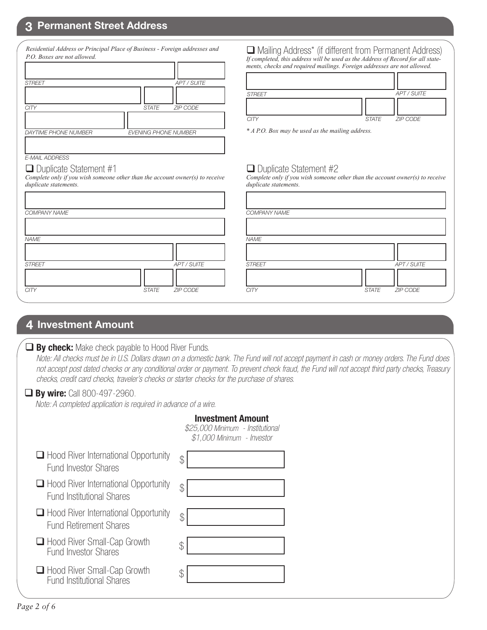### **3 Permanent Street Address**

|                             | Residential Address or Principal Place of Business - Foreign addresses and |
|-----------------------------|----------------------------------------------------------------------------|
| P.O. Boxes are not allowed. |                                                                            |
| <b>STREET</b>               | <b>APT / SUITE</b>                                                         |
|                             |                                                                            |
| CITY                        | <b>ZIP CODE</b><br><b>STATE</b>                                            |
|                             |                                                                            |
| <b>DAYTIME PHONE NUMBER</b> | <b>EVENING PHONE NUMBER</b>                                                |
|                             |                                                                            |
| <b>E-MAIL ADDRESS</b>       |                                                                            |

*Complete only if you wish someone other than the account owner(s) to receive* 

 Mailing Address\* (if different from Permanent Address) *If completed, this address will be used as the Address of Record for all statements, checks and required mailings. Foreign addresses are not allowed.*

| <b>STREET</b> |                | APT / SUITE |
|---------------|----------------|-------------|
|               |                |             |
| CITY          | STATE ZIP CODE |             |

*\* A P.O. Box may be used as the mailing address.*

#### $\Box$  Duplicate Statement #2

*Complete only if you wish someone other than the account owner(s) to receive duplicate statements.*

| COMPANY NAME  |       |                    | COMPANY NAME  |              |             |
|---------------|-------|--------------------|---------------|--------------|-------------|
|               |       |                    |               |              |             |
| NAME          |       |                    | <b>NAME</b>   |              |             |
|               |       |                    |               |              |             |
| <b>STREET</b> |       | <b>APT / SUITE</b> | <b>STREET</b> |              | APT / SUITE |
|               |       |                    |               |              |             |
| <b>CITY</b>   | STATE | ZIP CODE           | <b>CITY</b>   | <b>STATE</b> | ZIP CODE    |
|               |       |                    |               |              |             |

### **4 Investment Amount**

*NAME*

*duplicate statements.*

 $\Box$  Duplicate Statement #1

#### **By check:** Make check payable to Hood River Funds.

 *Note: All checks must be in U.S. Dollars drawn on a domestic bank. The Fund will not accept payment in cash or money orders. The Fund does not accept post dated checks or any conditional order or payment. To prevent check fraud, the Fund will not accept third party checks, Treasury checks, credit card checks, traveler's checks or starter checks for the purchase of shares.*

г

#### **By wire:** Call 800-497-2960.

*Note: A completed application is required in advance of a wire.*

|                                                                                 | <b>Investment Amount</b><br>\$25,000 Minimum - Institutional<br>\$1,000 Minimum - Investor |
|---------------------------------------------------------------------------------|--------------------------------------------------------------------------------------------|
| $\Box$ Hood River International Opportunity<br><b>Fund Investor Shares</b>      | \$                                                                                         |
| $\Box$ Hood River International Opportunity<br><b>Fund Institutional Shares</b> | \$                                                                                         |
| $\Box$ Hood River International Opportunity<br><b>Fund Retirement Shares</b>    | \$                                                                                         |
| □ Hood River Small-Cap Growth<br><b>Fund Investor Shares</b>                    | \$                                                                                         |
| □ Hood River Small-Cap Growth<br><b>Fund Institutional Shares</b>               | \$                                                                                         |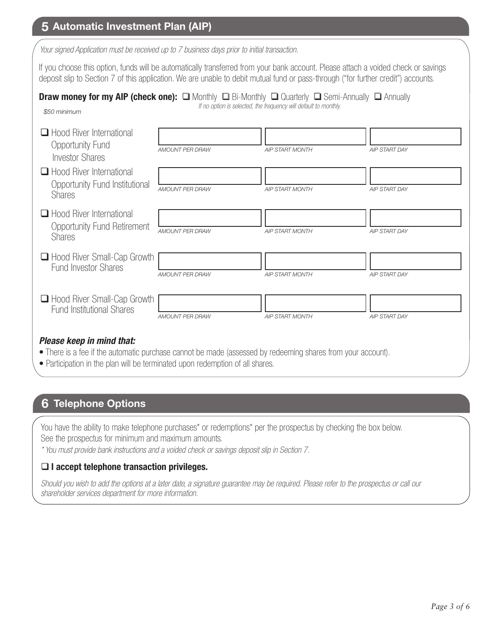## **5 Automatic Investment Plan (AIP)**

*Your signed Application must be received up to 7 business days prior to initial transaction.*

If you choose this option, funds will be automatically transferred from your bank account. Please attach a voided check or savings deposit slip to Section 7 of this application. We are unable to debit mutual fund or pass-through ("for further credit") accounts.

#### **Draw money for my AIP (check one):**  $\Box$  Monthly  $\Box$  Bi-Monthly  $\Box$  Quarterly  $\Box$  Semi-Annually  $\Box$  Annually *If no option is selected, the frequency will default to monthly.*

| $\Box$ Hood River International<br>Opportunity Fund<br><b>Investor Shares</b>          | <b>AMOUNT PER DRAW</b> | <b>AIP START MONTH</b> | <b>AIP START DAY</b> |
|----------------------------------------------------------------------------------------|------------------------|------------------------|----------------------|
| $\Box$ Hood River International<br>Opportunity Fund Institutional<br><b>Shares</b>     | <b>AMOUNT PER DRAW</b> | <b>AIP START MONTH</b> | <b>AIP START DAY</b> |
| $\Box$ Hood River International<br><b>Opportunity Fund Retirement</b><br><b>Shares</b> | <b>AMOUNT PER DRAW</b> | <b>AIP START MONTH</b> | <b>AIP START DAY</b> |
| Hood River Small-Cap Growth<br><b>Fund Investor Shares</b>                             | <b>AMOUNT PER DRAW</b> | <b>AIP START MONTH</b> | <b>AIP START DAY</b> |
| Hood River Small-Cap Growth<br><b>Fund Institutional Shares</b>                        | AMOUNT PER DRAW        | <b>AIP START MONTH</b> | <b>AIP START DAY</b> |
| Please keep in mind that:                                                              |                        |                        |                      |

- There is a fee if the automatic purchase cannot be made (assessed by redeeming shares from your account).
- Participation in the plan will be terminated upon redemption of all shares.

# **6 Telephone Options**

You have the ability to make telephone purchases\* or redemptions\* per the prospectus by checking the box below. See the prospectus for minimum and maximum amounts.

*\* You must provide bank instructions and a voided check or savings deposit slip in Section 7.* 

### **I accept telephone transaction privileges.**

*Should you wish to add the options at a later date, a signature guarantee may be required. Please refer to the prospectus or call our shareholder services department for more information.*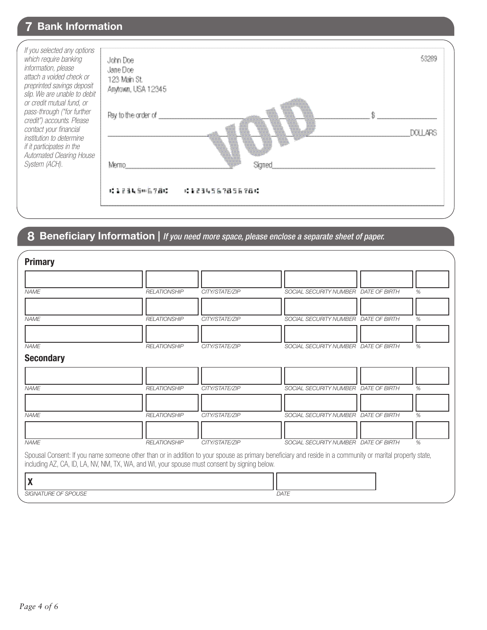| <b>7 Bank Information</b><br>If you selected any options<br>which require banking<br>information, please<br>attach a voided check or<br>preprinted savings deposit<br>slip. We are unable to debit<br>or credit mutual fund, or<br>pass-through ("for further<br>credit") accounts. Please<br>contact your financial<br>institution to determine<br>if it participates in the<br>Automated Clearing House<br>System (ACH). | John Doe<br>Jane Doe<br>123 Main St.<br>Anytown, USA 12345<br>Pay to the order of<br>Merito | 53289<br>DOLL ARS<br>Signed |  |
|----------------------------------------------------------------------------------------------------------------------------------------------------------------------------------------------------------------------------------------------------------------------------------------------------------------------------------------------------------------------------------------------------------------------------|---------------------------------------------------------------------------------------------|-----------------------------|--|
|                                                                                                                                                                                                                                                                                                                                                                                                                            | 暖色色素质密切离子静脉                                                                                 | : 1234567856781             |  |

# **8 Beneficiary Information |** *If you need more space, please enclose a separate sheet of paper.*

| SOCIAL SECURITY NUMBER DATE OF BIRTH<br><b>NAME</b><br><b>RELATIONSHIP</b><br>CITY/STATE/ZIP<br>%<br><b>NAME</b><br>SOCIAL SECURITY NUMBER DATE OF BIRTH<br><b>RELATIONSHIP</b><br>CITY/STATE/ZIP<br>%<br><b>NAME</b><br>SOCIAL SECURITY NUMBER DATE OF BIRTH<br><b>RELATIONSHIP</b><br>CITY/STATE/ZIP<br>%<br><b>Secondary</b><br>SOCIAL SECURITY NUMBER DATE OF BIRTH<br><b>RELATIONSHIP</b><br><b>NAME</b><br>CITY/STATE/ZIP<br>%<br>SOCIAL SECURITY NUMBER DATE OF BIRTH<br><b>NAME</b><br><b>RELATIONSHIP</b><br>CITY/STATE/ZIP<br>%<br><b>NAME</b><br><b>RELATIONSHIP</b><br>CITY/STATE/ZIP<br>SOCIAL SECURITY NUMBER DATE OF BIRTH<br>%<br>Spousal Consent: If you name someone other than or in addition to your spouse as primary beneficiary and reside in a community or marital property state,<br>including AZ, CA, ID, LA, NV, NM, TX, WA, and WI, your spouse must consent by signing below. | <b>Primary</b> |  |  |  |
|-------------------------------------------------------------------------------------------------------------------------------------------------------------------------------------------------------------------------------------------------------------------------------------------------------------------------------------------------------------------------------------------------------------------------------------------------------------------------------------------------------------------------------------------------------------------------------------------------------------------------------------------------------------------------------------------------------------------------------------------------------------------------------------------------------------------------------------------------------------------------------------------------------------|----------------|--|--|--|
|                                                                                                                                                                                                                                                                                                                                                                                                                                                                                                                                                                                                                                                                                                                                                                                                                                                                                                             |                |  |  |  |
|                                                                                                                                                                                                                                                                                                                                                                                                                                                                                                                                                                                                                                                                                                                                                                                                                                                                                                             |                |  |  |  |
|                                                                                                                                                                                                                                                                                                                                                                                                                                                                                                                                                                                                                                                                                                                                                                                                                                                                                                             |                |  |  |  |
|                                                                                                                                                                                                                                                                                                                                                                                                                                                                                                                                                                                                                                                                                                                                                                                                                                                                                                             |                |  |  |  |
|                                                                                                                                                                                                                                                                                                                                                                                                                                                                                                                                                                                                                                                                                                                                                                                                                                                                                                             |                |  |  |  |
|                                                                                                                                                                                                                                                                                                                                                                                                                                                                                                                                                                                                                                                                                                                                                                                                                                                                                                             |                |  |  |  |
|                                                                                                                                                                                                                                                                                                                                                                                                                                                                                                                                                                                                                                                                                                                                                                                                                                                                                                             |                |  |  |  |
|                                                                                                                                                                                                                                                                                                                                                                                                                                                                                                                                                                                                                                                                                                                                                                                                                                                                                                             |                |  |  |  |
|                                                                                                                                                                                                                                                                                                                                                                                                                                                                                                                                                                                                                                                                                                                                                                                                                                                                                                             |                |  |  |  |
|                                                                                                                                                                                                                                                                                                                                                                                                                                                                                                                                                                                                                                                                                                                                                                                                                                                                                                             |                |  |  |  |
| <b>SIGNATURE OF SPOUSE</b><br>DATE                                                                                                                                                                                                                                                                                                                                                                                                                                                                                                                                                                                                                                                                                                                                                                                                                                                                          |                |  |  |  |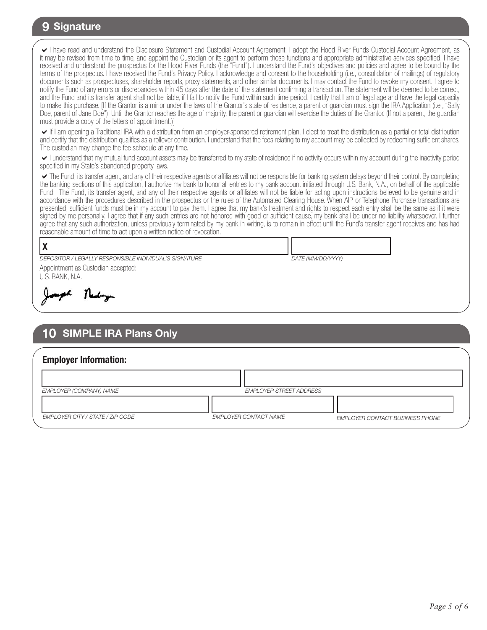### **9 Signature**

I have read and understand the Disclosure Statement and Custodial Account Agreement. I adopt the Hood River Funds Custodial Account Agreement, as it may be revised from time to time, and appoint the Custodian or its agent to perform those functions and appropriate administrative services specified. I have received and understand the prospectus for the Hood River Funds (the "Fund"). I understand the Fund's objectives and policies and agree to be bound by the terms of the prospectus. I have received the Fund's Privacy Policy. I acknowledge and consent to the householding (i.e., consolidation of mailings) of regulatory documents such as prospectuses, shareholder reports, proxy statements, and other similar documents. I may contact the Fund to revoke my consent. I agree to notify the Fund of any errors or discrepancies within 45 days after the date of the statement confirming a transaction. The statement will be deemed to be correct, and the Fund and its transfer agent shall not be liable, if I fail to notify the Fund within such time period. I certify that I am of legal age and have the legal capacity to make this purchase. [If the Grantor is a minor under the laws of the Grantor's state of residence, a parent or guardian must sign the IRA Application (i.e., "Sally Doe, parent of Jane Doe"). Until the Grantor reaches the age of majority, the parent or guardian will exercise the duties of the Grantor. (If not a parent, the guardian must provide a copy of the letters of appointment.)]

If I am opening a Traditional IRA with a distribution from an employer-sponsored retirement plan, I elect to treat the distribution as a partial or total distribution and certify that the distribution qualifies as a rollover contribution. I understand that the fees relating to my account may be collected by redeeming sufficient shares. The custodian may change the fee schedule at any time.

I understand that my mutual fund account assets may be transferred to my state of residence if no activity occurs within my account during the inactivity period specified in my State's abandoned property laws.

The Fund, its transfer agent, and any of their respective agents or affiliates will not be responsible for banking system delays beyond their control. By completing the banking sections of this application, I authorize my bank to honor all entries to my bank account initiated through U.S. Bank, N.A., on behalf of the applicable Fund. The Fund, its transfer agent, and any of their respective agents or affiliates will not be liable for acting upon instructions believed to be genuine and in accordance with the procedures described in the prospectus or the rules of the Automated Clearing House. When AIP or Telephone Purchase transactions are presented, sufficient funds must be in my account to pay them. I agree that my bank's treatment and rights to respect each entry shall be the same as if it were signed by me personally. I agree that if any such entries are not honored with good or sufficient cause, my bank shall be under no liability whatsoever. I further agree that any such authorization, unless previously terminated by my bank in writing, is to remain in effect until the Fund's transfer agent receives and has had reasonable amount of time to act upon a written notice of revocation.

*DATE (MM/DD/YYYY)*

### **X**

*DEPOSITOR / LEGALLY RESPONSIBLE INDIVIDUAL'S SIGNATURE*

Appointment as Custodian accepted: U.S. BANK, N.A.

Therefore

# **10 SIMPLE IRA Plans Only**

| <b>Employer Information:</b>     |                              |                                 |
|----------------------------------|------------------------------|---------------------------------|
|                                  |                              |                                 |
| <b>EMPLOYER (COMPANY) NAME</b>   | EMPLOYER STREET ADDRESS      |                                 |
|                                  |                              |                                 |
| EMPLOYER CITY / STATE / ZIP CODE | <b>EMPLOYER CONTACT NAME</b> | EMPLOYER CONTACT BUSINESS PHONE |